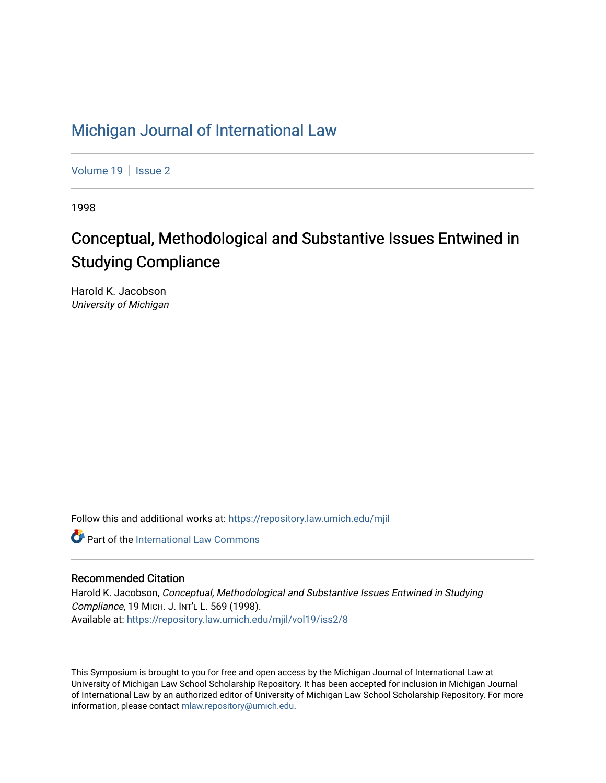# [Michigan Journal of International Law](https://repository.law.umich.edu/mjil)

[Volume 19](https://repository.law.umich.edu/mjil/vol19) | [Issue 2](https://repository.law.umich.edu/mjil/vol19/iss2)

1998

# Conceptual, Methodological and Substantive Issues Entwined in Studying Compliance

Harold K. Jacobson University of Michigan

Follow this and additional works at: [https://repository.law.umich.edu/mjil](https://repository.law.umich.edu/mjil?utm_source=repository.law.umich.edu%2Fmjil%2Fvol19%2Fiss2%2F8&utm_medium=PDF&utm_campaign=PDFCoverPages) 

**Part of the International Law Commons** 

# Recommended Citation

Harold K. Jacobson, Conceptual, Methodological and Substantive Issues Entwined in Studying Compliance, 19 MICH. J. INT'L L. 569 (1998). Available at: [https://repository.law.umich.edu/mjil/vol19/iss2/8](https://repository.law.umich.edu/mjil/vol19/iss2/8?utm_source=repository.law.umich.edu%2Fmjil%2Fvol19%2Fiss2%2F8&utm_medium=PDF&utm_campaign=PDFCoverPages) 

This Symposium is brought to you for free and open access by the Michigan Journal of International Law at University of Michigan Law School Scholarship Repository. It has been accepted for inclusion in Michigan Journal of International Law by an authorized editor of University of Michigan Law School Scholarship Repository. For more information, please contact [mlaw.repository@umich.edu](mailto:mlaw.repository@umich.edu).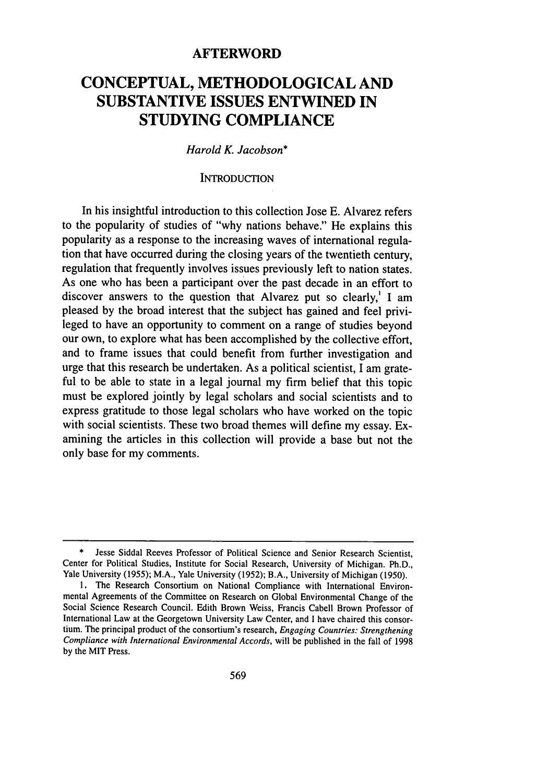# **AFTERWORD**

# **CONCEPTUAL, METHODOLOGICAL AND SUBSTANTIVE ISSUES ENTWINED IN STUDYING COMPLIANCE**

## *Harold K. Jacobson\**

#### **INTRODUCTION**

In his insightful introduction to this collection Jose E. Alvarez refers to the popularity of studies of "why nations behave." He explains this popularity as a response to the increasing waves of international regulation that have occurred during the closing years of the twentieth century, regulation that frequently involves issues previously left to nation states. As one who has been a participant over the past decade in an effort to discover answers to the question that Alvarez put so clearly,' **I** am pleased **by** the broad interest that the subject has gained and feel privileged to have an opportunity to comment on a range of studies beyond our own, to explore what has been accomplished **by** the collective effort, and to frame issues that could benefit from further investigation and urge that this research be undertaken. As a political scientist, **I** am grateful to be able to state in a legal journal my firm belief that this topic must be explored jointly **by** legal scholars and social scientists and to express gratitude to those legal scholars who have worked on the topic with social scientists. These two broad themes will define my essay. Examining the articles in this collection will provide a base but not the only base for my comments.

Jesse Siddal Reeves Professor of Political Science and Senior Research Scientist, Center for Political Studies, Institute for Social Research, University of Michigan. Ph.D., Yale University **(1955);** M.A., Yale University **(1952);** B.A., University of Michigan **(1950).**

**<sup>1.</sup>** The Research Consortium on National Compliance with International Environmental Agreements of the Committee on Research on Global Environmental Change of the Social Science Research Council. Edith Brown Weiss, Francis Cabell Brown Professor of International Law at the Georgetown University Law Center, and **I** have chaired this consor tium. The principal product of the consortium's research, *Engaging Countries: Strengthening Compliance with International Environmental Accords,* will be published in the fall of **1998 by** the MIT Press.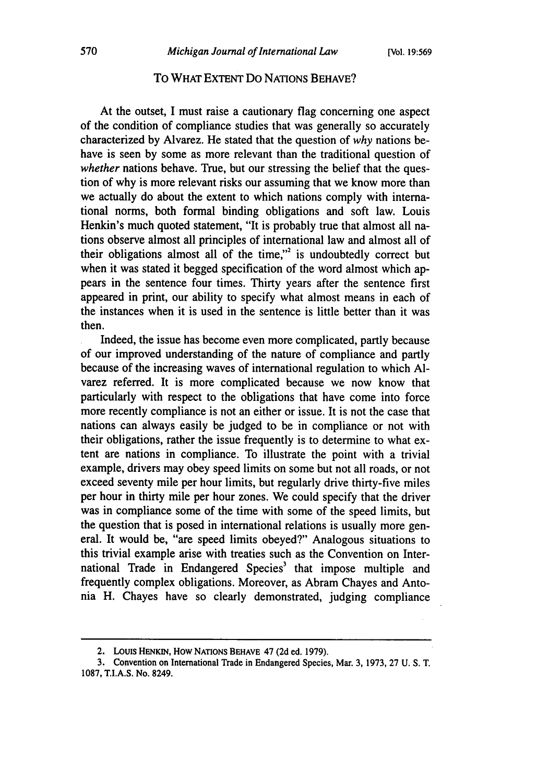#### To WHAT EXTENT Do NATIONS BEHAVE?

At the outset, I must raise a cautionary flag concerning one aspect of the condition of compliance studies that was generally so accurately characterized by Alvarez. He stated that the question of *why* nations behave is seen by some as more relevant than the traditional question of *whether* nations behave. True, but our stressing the belief that the question of why is more relevant risks our assuming that we know more than we actually do about the extent to which nations comply with international norms, both formal binding obligations and soft law. Louis Henkin's much quoted statement, "It is probably true that almost all nations observe almost all principles of international law and almost all of their obligations almost all of the time,"<sup>2</sup> is undoubtedly correct but when it was stated it begged specification of the word almost which appears in the sentence four times. Thirty years after the sentence first appeared in print, our ability to specify what almost means in each of the instances when it is used in the sentence is little better than it was then.

Indeed, the issue has become even more complicated, partly because of our improved understanding of the nature of compliance and partly because of the increasing waves of international regulation to which **Al**varez referred. It is more complicated because we now know that particularly with respect to the obligations that have come into force more recently compliance is not an either or issue. It is not the case that nations can always easily be judged to be in compliance or not with their obligations, rather the issue frequently is to determine to what extent are nations in compliance. To illustrate the point with a trivial example, drivers may obey speed limits on some but not all roads, or not exceed seventy mile per hour limits, but regularly drive thirty-five miles per hour in thirty mile per hour zones. We could specify that the driver was in compliance some of the time with some of the speed limits, but the question that is posed in international relations is usually more general. It would be, "are speed limits obeyed?" Analogous situations to this trivial example arise with treaties such as the Convention on International Trade in Endangered Species<sup>3</sup> that impose multiple and frequently complex obligations. Moreover, as Abram Chayes and Antonia H. Chayes have so clearly demonstrated, judging compliance

<sup>2.</sup> Louis HENKiN, How NATIONS BEHAVE 47 (2d ed. 1979).

<sup>3.</sup> Convention on International Trade in Endangered Species, Mar. 3, 1973, 27 U. S. T. 1087, T.I.A.S. No. 8249.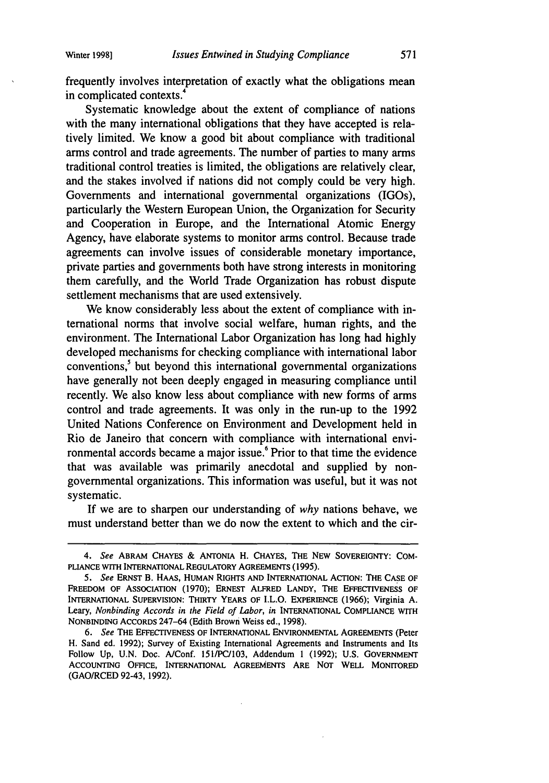frequently involves interpretation of exactly what the obligations mean in complicated contexts.<sup>4</sup>

Systematic knowledge about the extent of compliance of nations with the many international obligations that they have accepted is relatively limited. We know a good bit about compliance with traditional arms control and trade agreements. The number of parties to many arms traditional control treaties is limited, the obligations are relatively clear, and the stakes involved if nations did not comply could be very high. Governments and international governmental organizations (IGOs), particularly the Western European Union, the Organization for Security and Cooperation in Europe, and the International Atomic Energy Agency, have elaborate systems to monitor arms control. Because trade agreements can involve issues of considerable monetary importance, private parties and governments both have strong interests in monitoring them carefully, and the World Trade Organization has robust dispute settlement mechanisms that are used extensively.

We know considerably less about the extent of compliance with international norms that involve social welfare, human rights, and the environment. The International Labor Organization has long had highly developed mechanisms for checking compliance with international labor conventions,<sup>5</sup> but beyond this international governmental organizations have generally not been deeply engaged in measuring compliance until recently. We also know less about compliance with new forms of arms control and trade agreements. It was only in the run-up to the 1992 United Nations Conference on Environment and Development held in Rio de Janeiro that concern with compliance with international environmental accords became a major issue.<sup>6</sup> Prior to that time the evidence that was available was primarily anecdotal and supplied by nongovernmental organizations. This information was useful, but it was not systematic.

If we are to sharpen our understanding of *why* nations behave, we must understand better than we do now the extent to which and the cir-

*<sup>4.</sup> See* ABRAM **CHAYES** & ANTONIA **H. CHAYES, THE NEW** SOVEREIGNTY: **COM-**PLIANCE WITH INTERNATIONAL REGULATORY AGREEMENTS (1995).

*<sup>5.</sup> See* **ERNST B. HAAS, HUMAN RIGHTS AND INTERNATIONAL ACTION: THE CASE OF FREEDOM OF ASSOCIATION (1970); ERNEST ALFRED LANDY, THE EFFECTIVENESS OF INTERNATIONAL SUPERVISION: THIRTY YEARS OF** I.L.O. **EXPERIENCE (1966); Virginia A. Leary,** *Nonbinding Accords in the Field of Labor, in* **INTERNATIONAL COMPLIANCE** WITH **NONBINDING ACCORDS 247-64** (Edith **Brown Weiss ed., 1998).**

*<sup>6.</sup> See* **THE EFFECTIVENESS OF INTERNATIONAL ENVIRONMENTAL AGREEMENTS (Peter H. Sand ed. 1992); Survey of Existing International Agreements and Instruments and Its Follow Up, U.N. Doc. A/Conf. 151/PC/103, Addendum 1 (1992); U.S. GOVERNMENT ACCOUNTING OFFICE, INTERNATIONAL AGREEMENTS ARE NOT WELL** MONITORED **(GAO/RCED** 92-43, **1992).**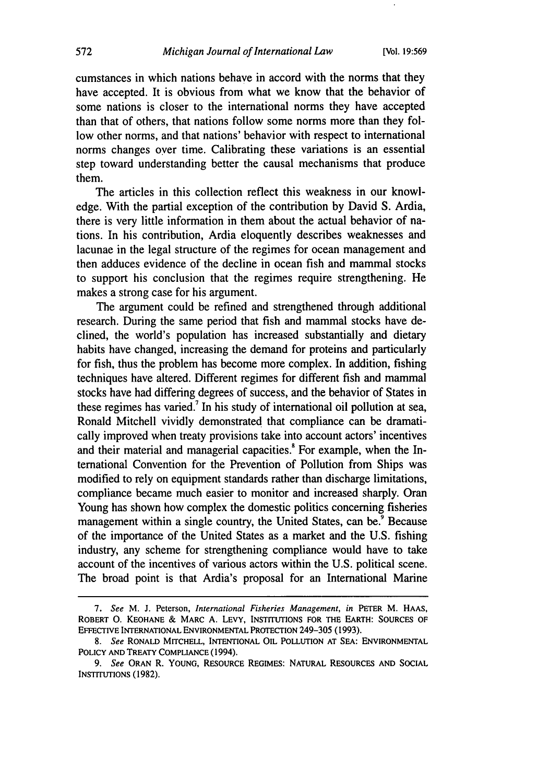cumstances in which nations behave in accord with the norms that they have accepted. It is obvious from what we know that the behavior of some nations is closer to the international norms they have accepted than that of others, that nations follow some norms more than they follow other norms, and that nations' behavior with respect to international norms changes oyer time. Calibrating these variations is an essential step toward understanding better the causal mechanisms that produce them.

The articles in this collection reflect this weakness in our knowledge. With the partial exception of the contribution by David S. Ardia, there is very little information in them about the actual behavior of nations. In his contribution, Ardia eloquently describes weaknesses and lacunae in the legal structure of the regimes for ocean management and then adduces evidence of the decline in ocean fish and mammal stocks to support his conclusion that the regimes require strengthening. He makes a strong case for his argument.

The argument could be refined and strengthened through additional research. During the same period that fish and mammal stocks have declined, the world's population has increased substantially and dietary habits have changed, increasing the demand for proteins and particularly for fish, thus the problem has become more complex. In addition, fishing techniques have altered. Different regimes for different fish and mammal stocks have had differing degrees of success, and the behavior of States in these regimes has varied.<sup>7</sup> In his study of international oil pollution at sea, Ronald Mitchell vividly demonstrated that compliance can be dramatically improved when treaty provisions take into account actors' incentives and their material and managerial capacities.<sup>8</sup> For example, when the International Convention for the Prevention of Pollution from Ships was modified to rely on equipment standards rather than discharge limitations, compliance became much easier to monitor and increased sharply. Oran Young has shown how complex the domestic politics concerning fisheries management within a single country, the United States, can be.<sup>9</sup> Because of the importance of the United States as a market and the U.S. fishing industry, any scheme for strengthening compliance would have to take account of the incentives of various actors within the U.S. political scene. The broad point is that Ardia's proposal for an International Marine

*<sup>7.</sup> See* M. J. Peterson, *International Fisheries Management, in* PETER M. **HAAS,** ROBERT **0.** KEOHANE & MARC A. LEVY, INSTITUTIONS FOR THE EARTH: SOURCES OF EFFECTIVE INTERNATIONAL ENVIRONMENTAL PROTECTION 249-305 (1993).

*<sup>8.</sup>* See RONALD MITCHELL, INTENTIONAL OIL POLLUTION AT SEA: ENVIRONMENTAL POLICY AND TREATY COMPLIANCE (1994).

*<sup>9.</sup> See* ORAN R. YOUNG, RESOURCE REGIMES: NATURAL RESOURCES AND SOCIAL INSTITUTIONS (1982).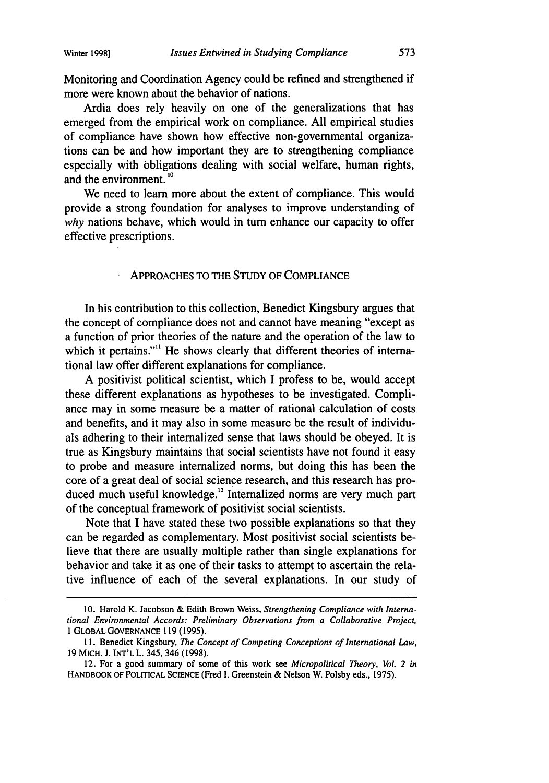Monitoring and Coordination Agency could be refined and strengthened if more were known about the behavior of nations.

Ardia does rely heavily on one of the generalizations that has emerged from the empirical work on compliance. All empirical studies of compliance have shown how effective non-governmental organizations can be and how important they are to strengthening compliance especially with obligations dealing with social welfare, human rights, and the environment. **1o**

We need to learn more about the extent of compliance. This would provide a strong foundation for analyses to improve understanding of *why* nations behave, which would in turn enhance our capacity to offer effective prescriptions.

## APPROACHES TO THE STUDY OF COMPLIANCE

In his contribution to this collection, Benedict Kingsbury argues that the concept of compliance does not and cannot have meaning "except as a function of prior theories of the nature and the operation of the law to which it pertains."<sup>11</sup> He shows clearly that different theories of international law offer different explanations for compliance.

A positivist political scientist, which I profess to be, would accept these different explanations as hypotheses to be investigated. Compliance may in some measure be a matter of rational calculation of costs and benefits, and it may also in some measure be the result of individuals adhering to their internalized sense that laws should be obeyed. It is true as Kingsbury maintains that social scientists have not found it easy to probe and measure internalized norms, but doing this has been the core of a great deal of social science research, and this research has produced much useful knowledge.<sup>12</sup> Internalized norms are very much part of the conceptual framework of positivist social scientists.

Note that I have stated these two possible explanations so that they can be regarded as complementary. Most positivist social scientists believe that there are usually multiple rather than single explanations for behavior and take it as one of their tasks to attempt to ascertain the relative influence of each of the several explanations. In our study of

<sup>10.</sup> Harold K. Jacobson & Edith Brown Weiss, *Strengthening Compliance with International Environmental Accords: Preliminary Observations from a Collaborative Project,* 1 GLOBAL GOVERNANCE 119 (1995).

<sup>11.</sup> Benedict Kingsbury, *The Concept of Competing Conceptions of International Law,* 19 MICH. J. INT'L L. 345, 346 (1998).

<sup>12.</sup> For a good summary of some of this work see *Micropolitical Theory, Vol. 2 in* HANDBOOK OF POLITICAL SCIENCE (Fred I. Greenstein & Nelson W. Polsby eds., 1975).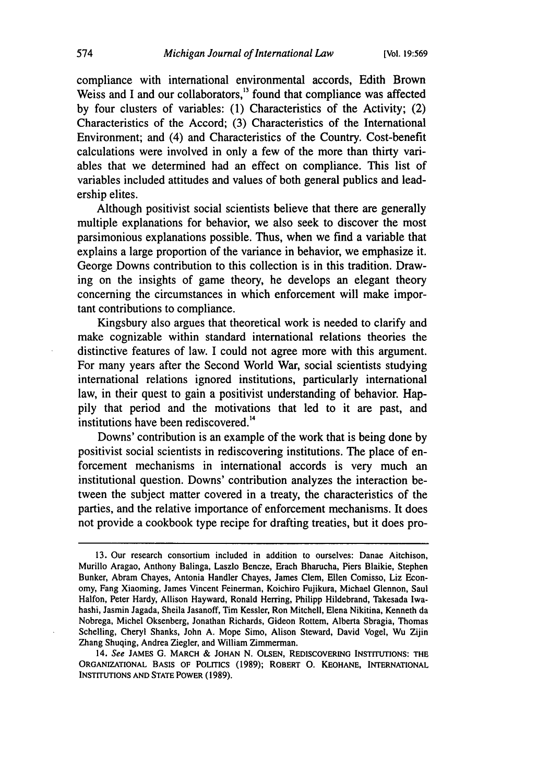compliance with international environmental accords, Edith Brown Weiss and I and our collaborators,<sup>13</sup> found that compliance was affected by four clusters of variables: (1) Characteristics of the Activity; (2) Characteristics of the Accord; (3) Characteristics of the International Environment; and (4) and Characteristics of the Country. Cost-benefit calculations were involved in only a few of the more than thirty variables that we determined had an effect on compliance. This list of variables included attitudes and values of both general publics and leadership elites.

Although positivist social scientists believe that there are generally multiple explanations for behavior, we also seek to discover the most parsimonious explanations possible. Thus, when we find a variable that explains a large proportion of the variance in behavior, we emphasize it. George Downs contribution to this collection is in this tradition. Drawing on the insights of game theory, he develops an elegant theory concerning the circumstances in which enforcement will make important contributions to compliance.

Kingsbury also argues that theoretical work is needed to clarify and make cognizable within standard international relations theories the distinctive features of law. I could not agree more with this argument. For many years after the Second World War, social scientists studying international relations ignored institutions, particularly international law, in their quest to gain a positivist understanding of behavior. Happily that period and the motivations that led to it are past, and institutions have been rediscovered.<sup>14</sup>

Downs' contribution is an example of the work that is being done by positivist social scientists in rediscovering institutions. The place of enforcement mechanisms in international accords is very much an institutional question. Downs' contribution analyzes the interaction between the subject matter covered in a treaty, the characteristics of the parties, and the relative importance of enforcement mechanisms. It does not provide a cookbook type recipe for drafting treaties, but it does pro-

<sup>13.</sup> Our research consortium included in addition to ourselves: Danae Aitchison, Murillo Aragao, Anthony Balinga, Laszlo Bencze, Erach Bharucha, Piers Blaikie, Stephen Bunker, Abram Chayes, Antonia Handler Chayes, James Clem, Ellen Comisso, Liz Economy, Fang Xiaoming, James Vincent Feinerman, Koichiro Fujikura, Michael Glennon, Saul Halfon, Peter Hardy, Allison Hayward, Ronald Herring, Philipp Hildebrand, Takesada Iwahashi, Jasmin Jagada, Sheila Jasanoff, Tim Kessler, Ron Mitchell, Elena Nikitina, Kenneth da Nobrega, Michel Oksenberg, Jonathan Richards, Gideon Rottem, Alberta Sbragia, Thomas Schelling, Cheryl Shanks, John A. Mope Simo, Alison Steward, David Vogel, Wu Zijin Zhang Shuqing, Andrea Ziegler, and William Zimmerman.

<sup>14.</sup> See JAMES G. MARCH & **JOHAN N. OLSEN,** REDISCOVERING INSTITUTIONS: **THE** ORGANIZATIONAL BASIS OF POLITICS (1989); ROBERT **0.** KEOHANE, INTERNATIONAL INSTITUTIONS **AND STATE** POWER (1989).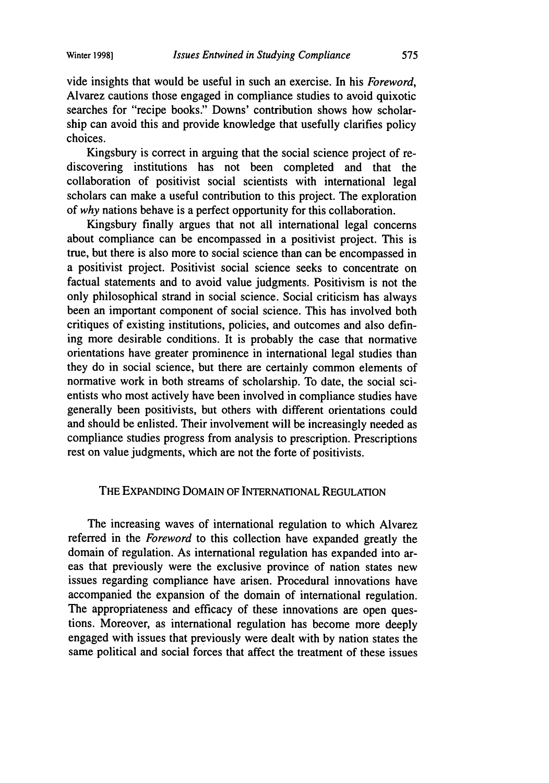vide insights that would be useful in such an exercise. In his *Foreword,* Alvarez cautions those engaged in compliance studies to avoid quixotic searches for "recipe books." Downs' contribution shows how scholarship can avoid this and provide knowledge that usefully clarifies policy choices.

Kingsbury is correct in arguing that the social science project of rediscovering institutions has not been completed and that the collaboration of positivist social scientists with international legal scholars can make a useful contribution to this project. The exploration of *why* nations behave is a perfect opportunity for this collaboration.

Kingsbury finally argues that not all international legal concerns about compliance can be encompassed in a positivist project. This is true, but there is also more to social science than can be encompassed in a positivist project. Positivist social science seeks to concentrate on factual statements and to avoid value judgments. Positivism is not the only philosophical strand in social science. Social criticism has always been an important component of social science. This has involved both critiques of existing institutions, policies, and outcomes and also defining more desirable conditions. It is probably the case that normative orientations have greater prominence in international legal studies than they do in social science, but there are certainly common elements of normative work in both streams of scholarship. To date, the social scientists who most actively have been involved in compliance studies have generally been positivists, but others with different orientations could and should be enlisted. Their involvement will be increasingly needed as compliance studies progress from analysis to prescription. Prescriptions rest on value judgments, which are not the forte of positivists.

# THE EXPANDING DOMAIN OF INTERNATIONAL REGULATION

The increasing waves of international regulation to which Alvarez referred in the *Foreword* to this collection have expanded greatly the domain of regulation. As international regulation has expanded into areas that previously were the exclusive province of nation states new issues regarding compliance have arisen. Procedural innovations have accompanied the expansion of the domain of international regulation. The appropriateness and efficacy of these innovations are open questions. Moreover, as international regulation has become more deeply engaged with issues that previously were dealt with by nation states the same political and social forces that affect the treatment of these issues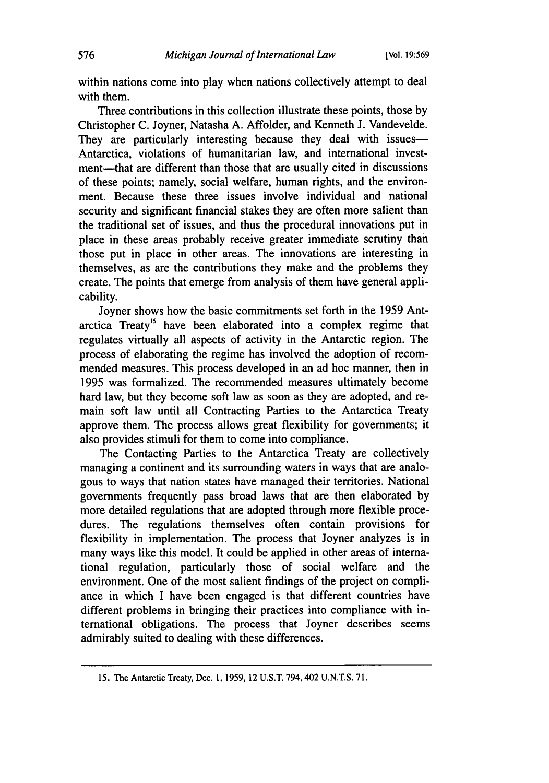within nations come into play when nations collectively attempt to deal with them.

Three contributions in this collection illustrate these points, those by Christopher C. Joyner, Natasha A. Affolder, and Kenneth J. Vandevelde. They are particularly interesting because they deal with issues-Antarctica, violations of humanitarian law, and international investment-that are different than those that are usually cited in discussions of these points; namely, social welfare, human rights, and the environment. Because these three issues involve individual and national security and significant financial stakes they are often more salient than the traditional set of issues, and thus the procedural innovations put in place in these areas probably receive greater immediate scrutiny than those put in place in other areas. The innovations are interesting in themselves, as are the contributions they make and the problems they create. The points that emerge from analysis of them have general applicability.

Joyner shows how the basic commitments set forth in the 1959 Antarctica Treaty<sup>15</sup> have been elaborated into a complex regime that regulates virtually all aspects of activity in the Antarctic region. The process of elaborating the regime has involved the adoption of recommended measures. This process developed in an ad hoc manner, then in 1995 was formalized. The recommended measures ultimately become hard law, but they become soft law as soon as they are adopted, and remain soft law until all Contracting Parties to the Antarctica Treaty approve them. The process allows great flexibility for governments; it also provides stimuli for them to come into compliance.

The Contacting Parties to the Antarctica Treaty are collectively managing a continent and its surrounding waters in ways that are analogous to ways that nation states have managed their territories. National governments frequently pass broad laws that are then elaborated by more detailed regulations that are adopted through more flexible procedures. The regulations themselves often contain provisions for flexibility in implementation. The process that Joyner analyzes is in many ways like this model. It could be applied in other areas of international regulation, particularly those of social welfare and the environment. One of the most salient findings of the project on compliance in which I have been engaged is that different countries have different problems in bringing their practices into compliance with international obligations. The process that Joyner describes seems admirably suited to dealing with these differences.

<sup>15.</sup> The Antarctic Treaty, Dec. 1, 1959, 12 U.S.T. 794,402 U.N.T.S. 71.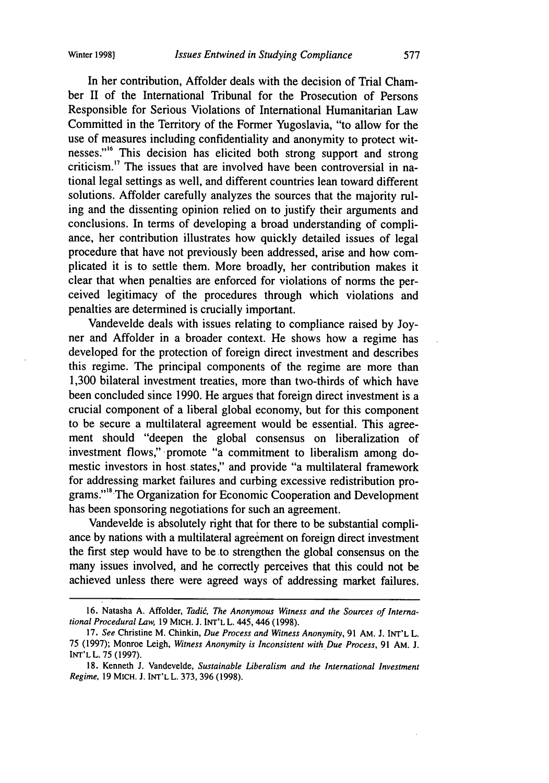In her contribution, Affolder deals with the decision of Trial Chamber II of the International Tribunal for the Prosecution of Persons Responsible for Serious Violations of International Humanitarian Law Committed in the Territory of the Former Yugoslavia, "to allow for the use of measures including confidentiality and anonymity to protect witnesses."<sup>16</sup> This decision has elicited both strong support and strong criticism." The issues that are involved have been controversial in national legal settings as well, and different countries lean toward different solutions. Affolder carefully analyzes the sources that the majority ruling and the dissenting opinion relied on to justify their arguments and conclusions. In terms of developing a broad understanding of compliance, her contribution illustrates how quickly detailed issues of legal procedure that have not previously been addressed, arise and how complicated it is to settle them. More broadly, her contribution makes it clear that when penalties are enforced for violations of norms the perceived legitimacy of the procedures through which violations and penalties are determined is crucially important.

Vandevelde deals with issues relating to compliance raised by Joyner and Affolder in a broader context. He shows how a regime has developed for the protection of foreign direct investment and describes this regime. The principal components of the regime are more than 1,300 bilateral investment treaties, more than two-thirds of which have been concluded since 1990. He argues that foreign direct investment is a crucial component of a liberal global economy, but for this component to be secure a multilateral agreement would be essential. This agreement should "deepen the global consensus on liberalization of investment flows," promote "a commitment to liberalism among domestic investors in host states," and provide "a multilateral framework for addressing market failures and curbing excessive redistribution programs."<sup>8</sup> The Organization for Economic Cooperation and Development has been sponsoring negotiations for such an agreement.

Vandevelde is absolutely right that for there to be substantial compliance by nations with a multilateral agreement on foreign direct investment the first step would have to be to strengthen the global consensus on the many issues involved, and he correctly perceives that this could not be achieved unless there were agreed ways of addressing market failures.

<sup>16.</sup> Natasha A. Affolder, *Tadi6, The Anonymous Witness and the Sources of International Procedural Law,* 19 MICH. **J.** INT'L L. 445,446 (1998).

<sup>17.</sup> *See* Christine M. Chinkin, *Due Process and Witness Anonymity,* 91 **AM.** J. INT'L L. 75 (1997); Monroe Leigh, *Witness Anonymity is Inconsistent with Due Process,* 91 AM. **J.** INT'L L. 75 (1997).

<sup>18.</sup> Kenneth J. Vandevelde, *Sustainable Liberalism and the International Investment Regime,* 19 MICH. J. INT'L L. 373, 396 (1998).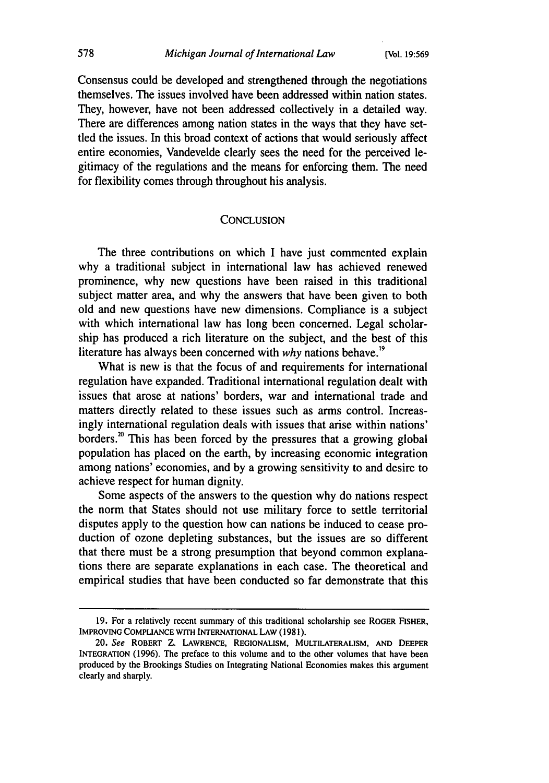Consensus could be developed and strengthened through the negotiations themselves. The issues involved have been addressed within nation states. They, however, have not been addressed collectively in a detailed way. There are differences among nation states in the ways that they have settled the issues. In this broad context of actions that would seriously affect entire economies, Vandevelde clearly sees the need for the perceived legitimacy of the regulations and the means for enforcing them. The need for flexibility comes through throughout his analysis.

#### **CONCLUSION**

The three contributions on which I have just commented explain why a traditional subject in international law has achieved renewed prominence, why new questions have been raised in this traditional subject matter area, and why the answers that have been given to both old and new questions have new dimensions. Compliance is a subject with which international law has long been concerned. Legal scholarship has produced a rich literature on the subject, and the best of this literature has always been concerned with *why* nations behave."9

What is new is that the focus of and requirements for international regulation have expanded. Traditional international regulation dealt with issues that arose at nations' borders, war and international trade and matters directly related to these issues such as arms control. Increasingly international regulation deals with issues that arise within nations' borders.<sup>20</sup> This has been forced by the pressures that a growing global population has placed on the earth, by increasing economic integration among nations' economies, and by a growing sensitivity to and desire to achieve respect for human dignity.

Some aspects of the answers to the question why do nations respect the norm that States should not use military force to settle territorial disputes apply to the question how can nations be induced to cease production of ozone depleting substances, but the issues are so different that there must be a strong presumption that beyond common explanations there are separate explanations in each case. The theoretical and empirical studies that have been conducted so far demonstrate that this

<sup>19.</sup> For a relatively recent summary of this traditional scholarship see ROGER FISHER, IMPROVING COMPLIANCE **WITH INTERNATIONAL** LAW **(1981).**

<sup>20.</sup> *See* ROBERT Z. LAWRENCE, **REGIONALISM,** MULTILATERALISM, **AND** DEEPER INTEGRATION (1996). The preface to this volume and to the other volumes that have been produced **by** the Brookings Studies on Integrating National Economies makes this argument clearly and sharply.